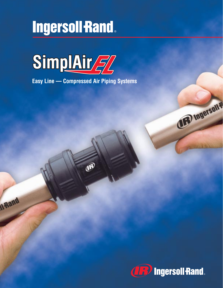# **Ingersoll Rand**



**Easy Line — Compressed Air Piping Systems**

F

Il Rand



(IFF) Ingerson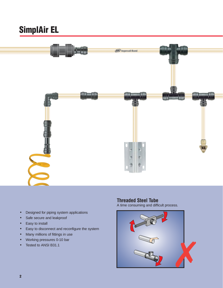

- Designed for piping system applications
- Safe secure and leakproof
- Easy to install
- Easy to disconnect and reconfigure the system
- Many millions of fittings in use
- Working pressures 0-10 bar
- 

### **Threaded Steel Tube**

A time consuming and difficult process.

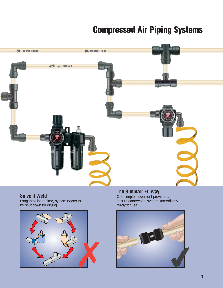# **Compressed Air Piping Systems**



### **Solvent Weld**

Long installation time, system needs to be shut down for drying.



### **The SimplAir EL Way**

One simple movement provides a secure connection; system immediately ready for use.

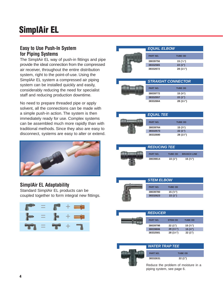### **Easy to Use Push-In System for Piping Systems**

The SimplAir EL way of push-in fittings and pipe provide the ideal connection from the compressed air receiver, throughout the entire distribution system, right to the point-of-use. Using the SimplAir EL system a compressed air piping system can be installed quickly and easily, considerably reducing the need for specialist staff and reducing production downtime.

No need to prepare threaded pipe or apply solvent, all the connections can be made with a simple push-in action. The system is then immediately ready for use. Complex systems can be assembled much more rapidly than with traditional methods. Since they also are easy to disconnect, systems are easy to alter or extend.



### **SimplAir EL Adaptability** Standard SimplAir EL products can be coupled together to form integral new fittings.







| <b>STRAIGHT CONNECTOR</b> |                    |  |  |
|---------------------------|--------------------|--|--|
| <b>PART NO.</b>           | <b>TUBE OD</b>     |  |  |
| 38039772                  | 15 $(\frac{5}{6})$ |  |  |
| 38332557                  | 22(1")             |  |  |
| 38332664                  | 28 (1¼")           |  |  |

| <b>EQUAL TEE</b> |                |
|------------------|----------------|
| <b>PART NO.</b>  | <b>TUBE OD</b> |
| 38039764         | 15 $(*)$       |
| 38332573         | 22(1")         |
| 38332680         | $28(1\%)$      |







| <b>REDUCER</b>  |                |                    |  |
|-----------------|----------------|--------------------|--|
| <b>PART NO.</b> | <b>STEM OD</b> | <b>TUBE OD</b>     |  |
| 38039798        | 22(1")         | 15 $(\frac{5}{8})$ |  |
| 38039806        | 28 (1¼")       | 15 $($ %")         |  |
| 38332581        | 28 (1¼")       | 22 (1")            |  |



| <b>WATER TRAP TEE</b> |                |  |
|-----------------------|----------------|--|
| <b>PART NO.</b>       | <b>TUBE OD</b> |  |
| 38332631              | 22(1")         |  |
|                       |                |  |

Reduce the problem of moisture in a piping system, see page 6.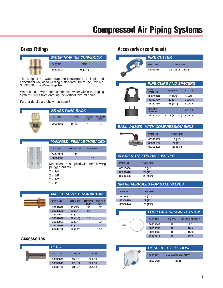### **Brass Fittings**

|  | <b>WATER TRAP TEE CONVERTOR</b> |             |  |
|--|---------------------------------|-------------|--|
|  | <b>PART NO.</b>                 | <b>SIZE</b> |  |
|  | 38332714                        | $28(1\%)$   |  |

The SimplAir EL Water Trap Tee Convertor is a simple and convenient way of converting a standard 28mm Tee, Part No. 38332680, to a Water Trap Tee.

When fitted, it will reduce condensed water within the Piping System Circuit from entering the vertical take-off spurs.

Further details are shown on page 6.

|                 | <b>BRASS WING BACK</b> |                             |                             |
|-----------------|------------------------|-----------------------------|-----------------------------|
| <b>PART NO.</b> | PIPE OD                | <b>THRFAD</b><br><b>BSP</b> | <b>THRFAD</b><br><b>NPT</b> |
| 38039855        | 15 $(\frac{5}{8})$     | $\frac{1}{2}$ "             | $\frac{1}{2}$ "             |



|                  |                              | <b>MANIFOLD - FEMALE THREADED</b>         |
|------------------|------------------------------|-------------------------------------------|
| <b>PART NO.</b>  | <b>THREAD BSP THREAD NPT</b> |                                           |
| 54742721         | 1"                           |                                           |
| 38004339         |                              | 1"                                        |
| plugged outlets: |                              | Manifolds are supplied with the following |

**⁄2"**

**⁄4"**

**⁄4") 1"**

2 x 1/4" 2 x 3/8"

|  | 0 / ن            |  |
|--|------------------|--|
|  | $\lambda$ $\sim$ |  |

**38332706 28 (11**

2 x 1/2" 1 x 1"

**MALE BRASS STEM ADAPTOR PART NO. STEM OD THREAD THREAD BSP NPT 38039822 15 (5 ⁄8") <sup>1</sup> ⁄2" <sup>1</sup> 38332599 22 (1") <sup>3</sup> ⁄4" 38332607 22 (1") 1" 38332698 28 (11**  $28(1\frac{1}{4})$  1" **38332961 22 (1") <sup>3</sup> 38332615 22 (1") 1"**

### **Accessories**



### **Accessories (continued)**



#### **BALL VALVES - WITH COMPRESSION ENDS**

| <b>PART NO.</b> |
|-----------------|
| 88315635        |
| 88306139        |
| 88306402        |



#### **SPARE NUTS FOR BALL VALVES**

| <b>PART NO.</b> | <b>TUBE SIZE</b> |  |
|-----------------|------------------|--|
| 88315650        | 15 $($ %")       |  |
| 88306410        | 22(1")           |  |
| 88306436        | 28 (1¼")         |  |

#### **SPARE FERRULES FOR BALL VALVES**

| <b>PART NO.</b> | <b>TUBE SIZE</b> |  |
|-----------------|------------------|--|
| 88315643        | 15 $($ %")       |  |
| 88306428        | 22(1")           |  |
| 88306444        | $28(1\%)$        |  |

| <b>LOOP-FAST HANGING SYSTEM</b> |               |                       |
|---------------------------------|---------------|-----------------------|
| <b>PART NO.</b>                 | <b>PK QTY</b> | <b>LENGTH OF WIRE</b> |
| 38330643                        | 10            | 5 <sub>ft</sub>       |
| 38330650                        | 10            | 10 ft                 |
| 38330668                        | 10            | 15 <sub>ft</sub>      |
| 38330676                        | 10            | 30 ft                 |
|                                 |               |                       |



| <b>HOSE REEL - 3/8" HOSE</b> |                           |  |
|------------------------------|---------------------------|--|
|                              |                           |  |
| <b>PART NO.</b>              | <b>MAX WORKING LENGTH</b> |  |
| 38035424                     | $25$ ft.                  |  |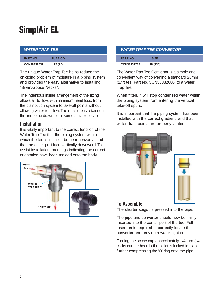| <b>WATER TRAP TEE</b> |                |  |  |
|-----------------------|----------------|--|--|
| <b>PART NO.</b>       | <b>TUBE OD</b> |  |  |
| CCN38332631           | 22(1")         |  |  |

The unique Water Trap Tee helps reduce the on-going problem of moisture in a piping system and provides the easy alternative to installing "Swan/Goose Necks".

The ingenious inside arrangement of the fitting allows air to flow, with minimum head loss, from the distribution system to take-off points without allowing water to follow. The moisture is retained in the line to be drawn off at some suitable location.

### **Installation**

It is vitally important to the correct function of the Water Trap Tee that the piping system within which the tee is installed be near horizontal and that the outlet port face vertically downward. To assist installation, markings indicating the correct orientation have been molded onto the body.



### **WATER TRAP TEE CONVERTOR**

| <b>PART NO.</b> |                    |  |
|-----------------|--------------------|--|
| CCN38332714     | $28(1\frac{1}{4})$ |  |

The Water Trap Tee Convertor is a simple and convenient way of converting a standard 28mm (11 ⁄4") tee, Part No. CCN38332680, to a Water Trap Tee.

When fitted, it will stop condensed water within the piping system from entering the vertical take-off spurs.

It is important that the piping system has been installed with the correct gradient, and that water drain points are properly vented.



### **To Assemble**

The shorter spigot is pressed into the pipe.

The pipe and converter should now be firmly inserted into the center port of the tee. Full insertion is required to correctly locate the converter and provide a water-tight seal.

Turning the screw cap approximately 1/4 turn (two clicks can be heard,) the collet is locked in place, further compressing the 'O' ring onto the pipe.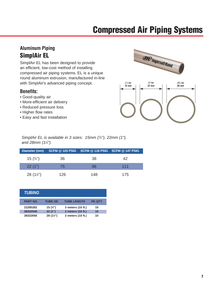## **Compressed Air Piping Systems**

### **Aluminum Piping SimplAir EL**

SimplAir EL has been designed to provide an efficient, low-cost method of installing compressed air piping systems. EL is a unique round aluminum extrusion, manufactured in-line with SimplAir's advanced piping concept.

### **Benefits:**

- Good-quality air
- More-efficient air delivery
- Reduced pressure loss
- Higher flow rates
- Easy and fast installation



SimplAir EL is available in 3 sizes: 15mm (<sup>5</sup>/<sub>8</sub>"), 22mm (1"), and 28mm (1¼").

|           | Diameter (mm)  SCFM @ 103  PSIG  SCFM @ 118  PSIG  SCFM @ 147  PSIG |     |     |
|-----------|---------------------------------------------------------------------|-----|-----|
| $15$ (%") | 36                                                                  | -38 | 42  |
| 22(1")    | 75                                                                  | 86  | 111 |
| 28 (1¼")  | 126                                                                 | 148 | 175 |

| <b>TUBING</b>   |                |                    |               |
|-----------------|----------------|--------------------|---------------|
| <b>PART NO.</b> | <b>TUBE OD</b> | <b>TUBE LENGTH</b> | <b>PK QTY</b> |
| 22285282        | 15 $(*)$       | 3 meters (10 ft.)  | 10            |
| 38332540        | 22(1")         | 3 meters (10 ft.)  | 10            |
| 38332656        | 28 (1¼")       | 3 meters (10 ft.)  | 10            |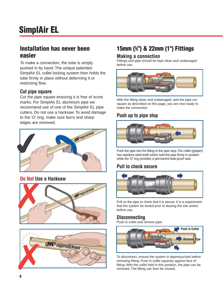### **Installation has never been easier**

To make a connection, the tube is simply pushed in by hand. The unique patented SimplAir EL collet locking system then holds the tube firmly in place without deforming it or restricting flow.

### **Cut pipe square**

Cut the pipe square ensuring it is free of score marks. For SimplAir EL aluminum pipe we recommend use of one of the SimplAir EL pipe cutters. Do not use a hacksaw. To avoid damage to the 'O' ring, make sure burrs and sharp edges are removed.



### **Do Not Use a Hacksaw**





### **15mm (5 ⁄8") & 22mm (1") Fittings**

### **Making a connection**

Fittings and pipe should be kept clean and undamaged before use.



With the fitting clean and undamaged, and the pipe cut square as described on this page, you are now ready to make the connection.

### **Push up to pipe stop**



Push the pipe into the fitting to the pipe stop.The collet (gripper) has stainless steel teeth which hold the pipe firmly in position while the 'O' ring provides a permanent leak-proof seal.

### **Pull to check secure**



Pull on the pipe to check that it is secure. It is a requirement that the system be tested prior to leaving the site and/or before use.

### **Disconnecting**

Push in collet and remove pipe.



To disconnect, ensure the system is depressurized before removing fitting. Push in collet squarely against face of fitting. With the collet held in this position, the pipe can be removed. The fitting can then be reused.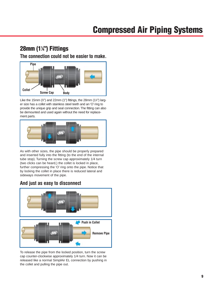### **28mm (11 ⁄4") Fittings**

**The connection could not be easier to make.**



Like the 15mm (%") and 22mm (1") fittings, the 28mm (1¼") larger size has a collet with stainless steel teeth and an 'O' ring to provide the unique grip and seal connection.The fitting can also be demounted and used again without the need for replacement parts.



As with other sizes, the pipe should be properly prepared and inserted fully into the fitting (to the end of the internal tube stop). Turning the screw cap approximately 1/4 turn (two clicks can be heard,) the collet is locked in place, further compressing the 'O' ring onto the pipe. Notice that by locking the collet in place there is reduced lateral and sideways movement of the pipe.

### **And just as easy to disconnect**



To release the pipe from the locked position, turn the screw cap counter-clockwise approximately 1/4 turn. Now it can be released like a normal SimplAir EL connection by pushing in the collet and pulling the pipe out.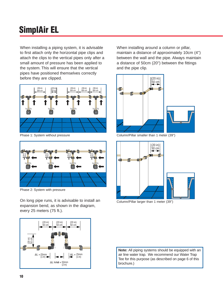When installing a piping system, it is advisable to first attach only the horizontal pipe clips and attach the clips to the vertical pipes only after a small amount of pressure has been applied to the system. This will ensure that the vertical pipes have positioned themselves correctly before they are clipped.



Phase 1: System without pressure



Phase 2: System with pressure

On long pipe runs, it is advisable to install an expansion bend, as shown in the diagram, every 25 meters (75 ft.).



When installing around a column or pillar, maintain a distance of approximately 10cm (4'') between the wall and the pipe. Always maintain a distance of 50cm (20'') between the fittings and the pipe clip.



Column/Pillar smaller than 1 meter (39")



Column/Pillar larger than 1 meter (39'')

**Note:** All piping systems should be equipped with an air line water trap. We recommend our Water Trap Tee for this purpose (as described on page 6 of this brochure.)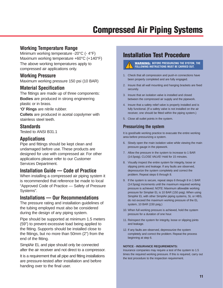### **Working Temperature Range**

Minimum working temperature -20°C (- 4°F) Maximum working temperature +60°C (+140°F) The above working temperatures apply to compressed air applications only.

### **Working Pressure**

Maximum working pressure 150 psi (10 BAR)

### **Material Specification**

The fittings are made up of three components: **Bodies** are produced in strong engineering plastic or in brass.

**'O' Rings** are nitrile rubber.

**Collets** are produced in acetal copolymer with stainless steel teeth.

#### **Standards**

Tested to ANSI B31.1

### **Applications**

Pipe and fittings should be kept clean and undamaged before use. These products are designed for use with compressed air. For other applications please refer to our Customer Services Department.

### **Installation Guide — Code of Practice**

When installing a compressed air piping system it is recommended that reference be made to local "Approved Code of Practice — Safety of Pressure Systems".

### **Installations — Our Recommendations**

The pressure rating and installation guidelines of the tubing employed must also be considered during the design of any piping system.

Pipe should be supported at minimum 1.5 meters (59") to prevent excessive load being applied to the fitting. Supports should be installed close to the fittings, but no more than 50mm (2") from the end of the fitting.

SimplAir EL and pipe should only be connected after the air receiver and not direct to a compressor.

It is a requirement that all pipe and fitting installations are pressure-tested after installation and before handing over to the final user.

### **Installation Test Procedure**

**WARNING: BEFORE PRESSURIZING THE SYSTEM, THE FOLLOWING INSTRUCTIONS MUST BE CARRIED OUT.**

- 1. Check that all compression and push-in connections have been properly completed and are fully engaged.
- 2. Insure that all wall mounting and hanging brackets are fixed securely.
- 3. Insure that an isolation valve is installed and closed between the compressed air supply and the pipework.
- 4. Insure that a safety relief valve is properly installed and is fully functional. (If a safety valve is not installed on the air receiver, one should be fitted within the piping system.)
- 5. Close all outlet points in the system.

### **Pressurizing the system**

It is good/safe working practice to evacuate the entire working area before pressurizing a system.

- 6. Slowly open the main isolation valve while viewing the main pressure gauge in the pipework.
- 7. Allow the pressure in the system to increase to 1 BAR (14.5psig). CLOSE VALVE! Hold for 15 minutes.
- 8. Visually inspect the entire system for integrity, loose or slipping joints and leakage. If any faults are observed, depressurize the system completely and correct the problem. Repeat steps 6 through 8.
- 9. If the system is secure, repeat steps 6 through 8 in 1 BAR (14.5psig) increments until the maximum required working pressure is achieved. NOTE: Maximum allowable working pressure for Simplair EL is 10 BAR (150 psig). When using SimplAir EL with other SimplAir piping systems, SL or HBS, do not exceed the maximum working pressure of the EL system, 10 BAR (150 psig.)
- 10. When full working pressure is achieved, hold the system pressure for a duration of one hour.
- 11. Reinspect the system for integrity, loose or slipping joints and leakage.
- 12. If any faults are observed, depressurize the system completely and correct the problem. Repeat the process beginning at step 6.

#### **NOTICE - INSURANCE REQUIREMENTS:**

Insurance companies may require a test of the system to 1.5 times the required working pressure. If this is required, carry out the test procedure to the inspection requirement.